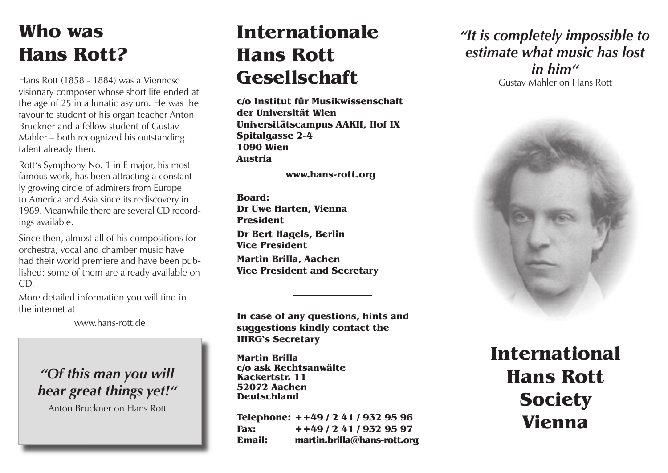# **Who was Hans Rott?**

Hans Rott (1858 - 1884) was a Viennese visionary composer whose short life ended at the age of 25 in a lunatic asylum. He was the favourite student of his organ teacher Anton Bruckner and a fellow student of Gustav Mahler – both recognized his outstanding talent already then.

Rott's Symphony No. 1 in E major, his most famous work, has been attracting a constantly growing circle of admirers from Europe to America and Asia since its rediscovery in 1989. Meanwhile there are several CD recordings available.

Since then, almost all of his compositions for orchestra, vocal and chamber music have had their world premiere and have been published; some of them are already available on CD.

More detailed information you will find in the internet at

www.hans-rott.de

### *"Of this man you will hear great things yet!"*

Anton Bruckner on Hans Rott

# **Internationale Hans Rott Gesellschaft**

**c/o Institut für Musikwissenschaft der Universität Wien Universitätscampus AAKH, Hof IX Spitalgasse 2-4 1090 Wien Austria**

**www.hans-rott.org**

**Board: Dr Uwe Harten, Vienna President Dr Bert Hagels, Berlin Vice President Martin Brilla, Aachen Vice President and Secretary**

**In case of any questions, hints and suggestions kindly contact the IHRG's Secretary**

**Martin Brilla c/o ask Rechtsanwälte Kackertstr. 11 52072 Aachen Deutschland**

**Telephone: ++49 / 2 41 / 932 95 96 Fax: ++49 / 2 41 / 932 95 97 Email: martin.brilla@hans-rott.org** *"It is completely impossible to estimate what music has lost in him"* Gustav Mahler on Hans Rott



**International Hans Rott Society Vienna**